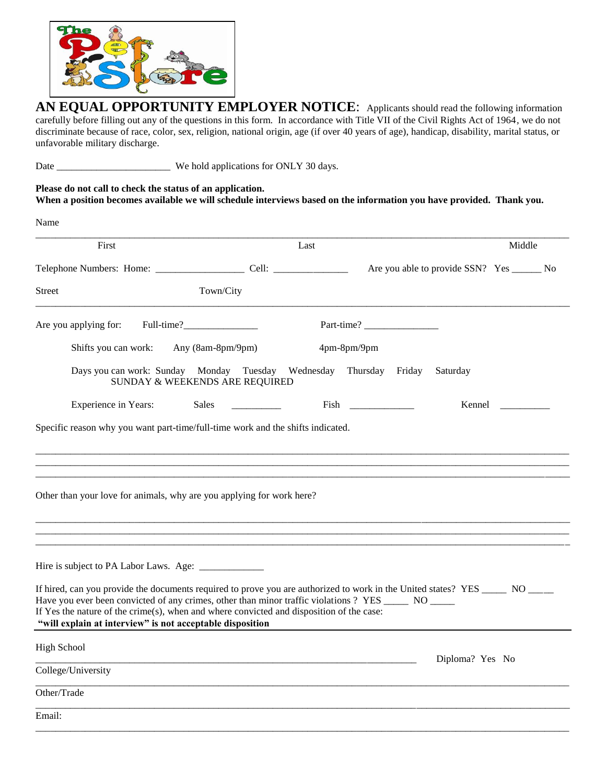

**AN EQUAL OPPORTUNITY EMPLOYER NOTICE**: Applicants should read the following information carefully before filling out any of the questions in this form. In accordance with Title VII of the Civil Rights Act of 1964, we do not discriminate because of race, color, sex, religion, national origin, age (if over 40 years of age), handicap, disability, marital status, or unfavorable military discharge.

Date \_\_\_\_\_\_\_\_\_\_\_\_\_\_\_\_\_\_\_\_\_\_\_ We hold applications for ONLY 30 days.

**Please do not call to check the status of an application. When a position becomes available we will schedule interviews based on the information you have provided. Thank you.**

| Name                                                                                                                                                                                                                                                                                                                                                                                           |                                                                                      |      |                 |                                              |        |  |
|------------------------------------------------------------------------------------------------------------------------------------------------------------------------------------------------------------------------------------------------------------------------------------------------------------------------------------------------------------------------------------------------|--------------------------------------------------------------------------------------|------|-----------------|----------------------------------------------|--------|--|
| First                                                                                                                                                                                                                                                                                                                                                                                          |                                                                                      | Last |                 |                                              | Middle |  |
|                                                                                                                                                                                                                                                                                                                                                                                                |                                                                                      |      |                 | Are you able to provide SSN? Yes ________ No |        |  |
| <b>Street</b>                                                                                                                                                                                                                                                                                                                                                                                  | Town/City                                                                            |      |                 |                                              |        |  |
| Are you applying for:                                                                                                                                                                                                                                                                                                                                                                          |                                                                                      |      | Part-time?      |                                              |        |  |
| Any (8am-8pm/9pm)<br>Shifts you can work:                                                                                                                                                                                                                                                                                                                                                      |                                                                                      |      | 4pm-8pm/9pm     |                                              |        |  |
|                                                                                                                                                                                                                                                                                                                                                                                                | Days you can work: Sunday Monday Tuesday Wednesday<br>SUNDAY & WEEKENDS ARE REQUIRED |      | Thursday Friday | Saturday                                     |        |  |
| <b>Experience in Years:</b>                                                                                                                                                                                                                                                                                                                                                                    | Sales                                                                                |      |                 | Kennel                                       |        |  |
| Specific reason why you want part-time/full-time work and the shifts indicated.<br>Other than your love for animals, why are you applying for work here?                                                                                                                                                                                                                                       |                                                                                      |      |                 |                                              |        |  |
|                                                                                                                                                                                                                                                                                                                                                                                                |                                                                                      |      |                 |                                              |        |  |
| If hired, can you provide the documents required to prove you are authorized to work in the United states? YES ______ NO ___<br>Have you ever been convicted of any crimes, other than minor traffic violations ? YES ______ NO _____<br>If Yes the nature of the crime(s), when and where convicted and disposition of the case:<br>"will explain at interview" is not acceptable disposition |                                                                                      |      |                 |                                              |        |  |
| <b>High School</b>                                                                                                                                                                                                                                                                                                                                                                             |                                                                                      |      |                 |                                              |        |  |
| College/University                                                                                                                                                                                                                                                                                                                                                                             |                                                                                      |      |                 | Diploma? Yes No                              |        |  |
| Other/Trade                                                                                                                                                                                                                                                                                                                                                                                    |                                                                                      |      |                 |                                              |        |  |
| Email:                                                                                                                                                                                                                                                                                                                                                                                         |                                                                                      |      |                 |                                              |        |  |
|                                                                                                                                                                                                                                                                                                                                                                                                |                                                                                      |      |                 |                                              |        |  |